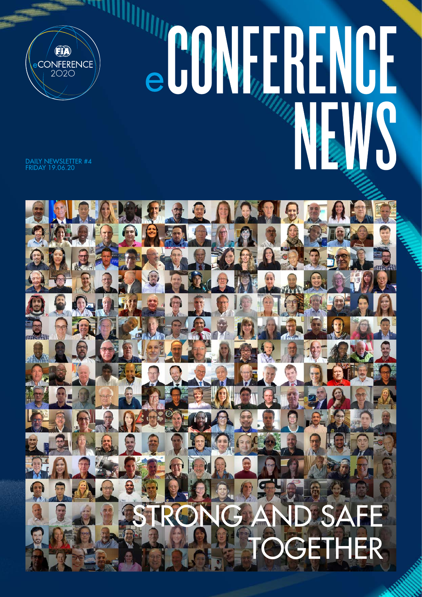

# COMPRENCE WS

DAILY NEWSLETTER #4 FRIDAY 19.06.20

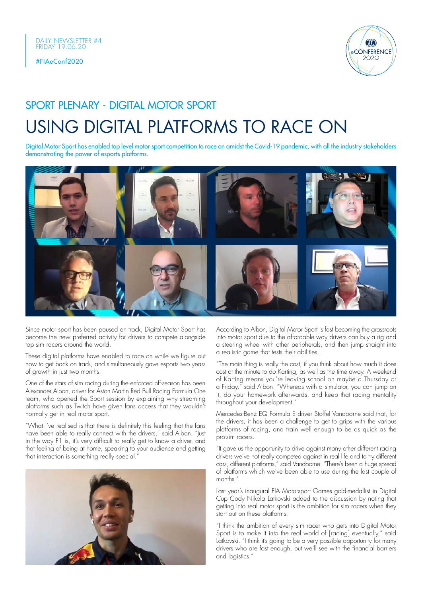

# USING DIGITAL PLATFORMS TO RACE ON SPORT PLENARY - DIGITAL MOTOR SPORT

Digital Motor Sport has enabled top level motor sport competition to race on amidst the Covid-19 pandemic, with all the industry stakeholders demonstrating the power of esports platforms.



Since motor sport has been paused on track, Digital Motor Sport has become the new preferred activity for drivers to compete alongside top sim racers around the world.

These digital platforms have enabled to race on while we figure out how to get back on track, and simultaneously gave esports two years of growth in just two months.

One of the stars of sim racing during the enforced off-season has been Alexander Albon, driver for Aston Martin Red Bull Racing Formula One team, who opened the Sport session by explaining why streaming platforms such as Twitch have given fans access that they wouldn't normally get in real motor sport.

"What I've realised is that there is definitely this feeling that the fans have been able to really connect with the drivers," said Albon. "Just in the way F1 is, it's very difficult to really get to know a driver, and that feeling of being at home, speaking to your audience and getting that interaction is something really special.'



According to Albon, Digital Motor Sport is fast becoming the grassroots into motor sport due to the affordable way drivers can buy a rig and a steering wheel with other peripherals, and then jump straight into a realistic game that tests their abilities.

"The main thing is really the cost, if you think about how much it does cost at the minute to do Karting, as well as the time away. A weekend of Karting means you're leaving school on maybe a Thursday or a Friday," said Albon. "Whereas with a simulator, you can jump on it, do your homework afterwards, and keep that racing mentality throughout your development."

Mercedes-Benz EQ Formula E driver Stoffel Vandoorne said that, for the drivers, it has been a challenge to get to grips with the various platforms of racing, and train well enough to be as quick as the pro-sim racers.

"It gave us the opportunity to drive against many other different racing drivers we've not really competed against in real life and to try different cars, different platforms," said Vandoorne. "There's been a huge spread of platforms which we've been able to use during the last couple of months."

Last year's inaugural FIA Motorsport Games gold-medallist in Digital Cup Cody Nikola Latkovski added to the discussion by noting that getting into real motor sport is the ambition for sim racers when they start out on these platforms.

"I think the ambition of every sim racer who gets into Digital Motor Sport is to make it into the real world of [racina] eventually," said Latkovski. "I think it's going to be a very possible opportunity for many drivers who are fast enough, but we'll see with the financial barriers and logistics."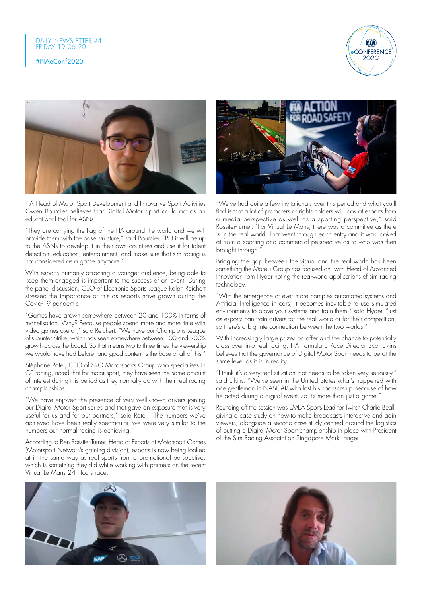



FIA Head of Motor Sport Development and Innovative Sport Activities Gwen Bourcier believes that Digital Motor Sport could act as an educational tool for ASNs.

"They are carrying the flag of the FIA around the world and we will provide them with the base structure," said Bourcier. "But it will be up to the ASNs to develop it in their own countries and use it for talent detection, education, entertainment, and make sure that sim racing is not considered as a game anymore."

With esports primarily attracting a younger audience, being able to keep them engaged is important to the success of an event. During the panel discussion, CEO of Electronic Sports League Ralph Reichert stressed the importance of this as esports have grown during the Covid-19 pandemic.

"Games have grown somewhere between 20 and 100% in terms of monetisation. Why? Because people spend more and more time with video games overall," said Reichert. "We have our Champions League of Counter Strike, which has seen somewhere between 100 and 200% growth across the board. So that means two to three times the viewership we would have had before, and good content is the base of all of this."

Stéphane Ratel, CEO of SRO Motorsports Group who specialises in GT racing, noted that for motor sport, they have seen the same amount of interest during this period as they normally do with their real racing championships.

"We have enjoyed the presence of very well-known drivers joining our Digital Motor Sport series and that gave an exposure that is very useful for us and for our partners," said Ratel. "The numbers we've achieved have been really spectacular, we were very similar to the numbers our normal racing is achieving."

According to Ben Rossiter-Turner, Head of Esports at Motorsport Games (Motorsport Network's gaming division), esports is now being looked at in the same way as real sports from a promotional perspective, which is something they did while working with partners on the recent Virtual Le Mans 24 Hours race.





"We've had quite a few invitationals over this period and what you'll find is that a lot of promoters or rights holders will look at esports from a media perspective as well as a sporting perspective," said Rossiter-Turner. "For Virtual Le Mans, there was a committee as there is in the real world. That went through each entry and it was looked at from a sporting and commercial perspective as to who was then brought through."

Bridging the gap between the virtual and the real world has been something the Marelli Group has focused on, with Head of Advanced Innovation Tom Hyder noting the real-world applications of sim racing technology.

"With the emergence of ever more complex automated systems and Artificial Intelligence in cars, it becomes inevitable to use simulated environments to prove your systems and train them," said Hyder. "Just as esports can train drivers for the real world or for their competition, so there's a big interconnection between the two worlds."

With increasingly large prizes on offer and the chance to potentially cross over into real racing, FIA Formula E Race Director Scot Elkins believes that the governance of Digital Motor Sport needs to be at the same level as it is in reality.

"I think it's a very real situation that needs to be taken very seriously," said Elkins. "We've seen in the United States what's happened with one gentleman in NASCAR who lost his sponsorship because of how he acted during a digital event, so it's more than just a game."

Rounding off the session was EMEA Sports Lead for Twitch Charlie Beall, giving a case study on how to make broadcasts interactive and gain viewers, alongside a second case study centred around the logistics of putting a Digital Motor Sport championship in place with President of the Sim Racing Association Singapore Mark Langer.

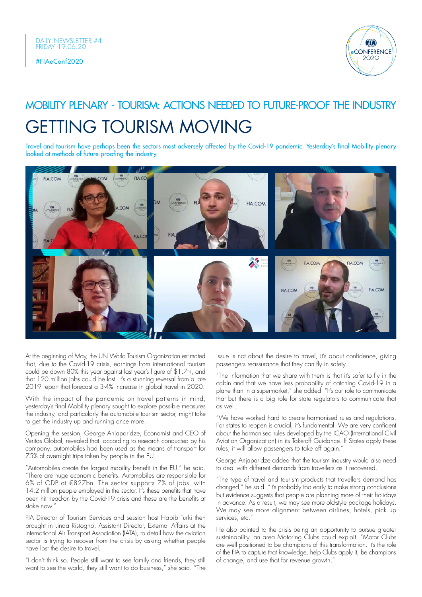

# GETTING TOURISM MOVING MOBILITY PLENARY - TOURISM: ACTIONS NEEDED TO FUTURE-PROOF THE INDUSTRY

Travel and tourism have perhaps been the sectors most adversely affected by the Covid-19 pandemic. Yesterday's final Mobility plenary looked at methods of future-proofing the industry.



At the beginning of May, the UN World Tourism Organization estimated that, due to the Covid-19 crisis, earnings from international tourism could be down 80% this year against last year's figure of \$1.7tn, and that 120 million jobs could be lost. It's a stunning reversal from a late 2019 report that forecast a 3-4% increase in global travel in 2020.

With the impact of the pandemic on travel patterns in mind, yesterday's final Mobility plenary sought to explore possible measures the industry, and particularly the automobile tourism sector, might take to get the industry up and running once more.

Opening the session, George Anjaparidze, Economist and CEO of Veritas Global, revealed that, according to research conducted by his company, automobiles had been used as the means of transport for 75% of overnight trips taken by people in the EU.

"Automobiles create the largest mobility benefit in the EU," he said. "There are huge economic benefits. Automobiles are responsible for 6% of GDP at €827bn. The sector supports 7% of jobs, with 14.2 million people employed in the sector. It's these benefits that have been hit head-on by the Covid-19 crisis and these are the benefits at stake now."

FIA Director of Tourism Services and session host Habib Turki then brought in Linda Ristogno, Assistant Director, External Affairs at the International Air Transport Association (IATA), to detail how the aviation sector is trying to recover from the crisis by asking whether people have lost the desire to travel.

"I don't think so. People still want to see family and friends, they still want to see the world, they still want to do business," she said. "The issue is not about the desire to travel, it's about confidence, giving passengers reassurance that they can fly in safety.

"The information that we share with them is that it's safer to fly in the cabin and that we have less probability of catching Covid-19 in a plane than in a supermarket," she added. "It's our role to communicate that but there is a big role for state regulators to communicate that as well.

"We have worked hard to create harmonised rules and regulations. For states to reopen is crucial, it's fundamental. We are very confident about the harmonised rules developed by the ICAO (International Civil Aviation Organization) in its Take-off Guidance. If States apply these rules, it will allow passengers to take off again."

George Anjaparidze added that the tourism industry would also need to deal with different demands from travellers as it recovered.

"The type of travel and tourism products that travellers demand has changed," he said. "It's probably too early to make strong conclusions but evidence suggests that people are planning more of their holidays in advance. As a result, we may see more old-style package holidays. We may see more alignment between airlines, hotels, pick up services<sup>'</sup> etc."

He also pointed to the crisis being an opportunity to pursue greater sustainability, an area Motoring Clubs could exploit. "Motor Clubs are well positioned to be champions of this transformation. It's the role of the FIA to capture that knowledge, help Clubs apply it, be champions of change, and use that for revenue growth."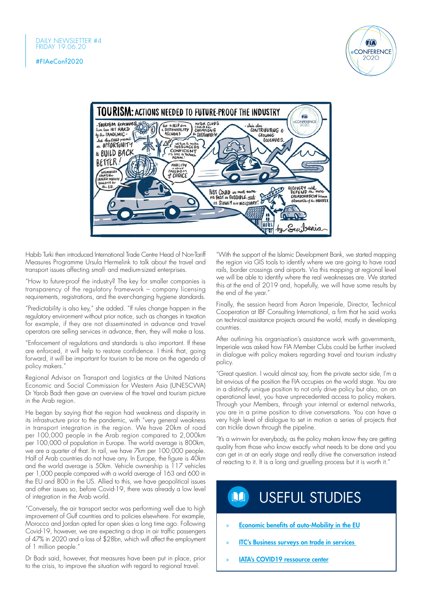



Habib Turki then introduced International Trade Centre Head of Non-Tariff Measures Programme Ursula Hermelink to talk about the travel and transport issues affecting small- and medium-sized enterprises.

"How to future-proof the industry? The key for smaller companies is transparency of the regulatory framework – company licensing requirements, registrations, and the ever-changing hygiene standards.

"Predictability is also key," she added. "If rules change happen in the regulatory environment without prior notice, such as changes in taxation for example, if they are not disseminated in advance and travel operators are selling services in advance, then, they will make a loss.

"Enforcement of regulations and standards is also important. If these are enforced, it will help to restore confidence. I think that, going forward, it will be important for tourism to be more on the agenda of policy makers."

Regional Advisor on Transport and Logistics at the United Nations Economic and Social Commission for Western Asia (UNESCWA) Dr Yarob Badr then gave an overview of the travel and tourism picture in the Arab region.

He began by saying that the region had weakness and disparity in its infrastructure prior to the pandemic, with "very general weakness in transport integration in the region. We have 20km of road per 100,000 people in the Arab region compared to 2,000km per 100,000 of population in Europe. The world average is 800km, we are a quarter of that. In rail, we have 7km per 100,000 people. Half of Arab countries do not have any. In Europe, the figure is 40km and the world average is 50km. Vehicle ownership is 117 vehicles per 1,000 people compared with a world average of 163 and 600 in the EU and 800 in the US. Allied to this, we have geopolitical issues and other issues so, before Covid-19, there was already a low level of integration in the Arab world.

"Conversely, the air transport sector was performing well due to high improvement of Gulf countries and to policies elsewhere. For example, Morocco and Jordan opted for open skies a long time ago. Following Covid-19, however, we are expecting a drop in air traffic passengers of 47% in 2020 and a loss of \$28bn, which will affect the employment of 1 million people."

Dr Badr said, however, that measures have been put in place, prior to the crisis, to improve the situation with regard to regional travel.

"With the support of the Islamic Development Bank, we started mapping the region via GIS tools to identify where we are going to have road rails, border crossings and airports. Via this mapping at regional level we will be able to identify where the real weaknesses are. We started this at the end of 2019 and, hopefully, we will have some results by the end of the year."

Finally, the session heard from Aaron Imperiale, Director, Technical Cooperation at IBF Consulting International, a firm that he said works on technical assistance projects around the world, mostly in developing countries.

After outlining his organisation's assistance work with governments, Imperiale was asked how FIA Member Clubs could be further involved in dialogue with policy makers regarding travel and tourism industry policy.

"Great question. I would almost say, from the private sector side, I'm a bit envious of the position the FIA occupies on the world stage. You are in a distinctly unique position to not only drive policy but also, on an operational level, you have unprecedented access to policy makers. Through your Members, through your internal or external networks, you are in a prime position to drive conversations. You can have a very high level of dialogue to set in motion a series of projects that can trickle down through the pipeline.

"It's a win-win for everybody, as the policy makers know they are getting quality from those who know exactly what needs to be done and you can get in at an early stage and really drive the conversation instead of reacting to it. It is a long and gruelling process but it is worth it."

### USEFUL STUDIES**NA**

- » [Economic benefits of auto-Mobility in the EU](https://www.veritasglobal.ch/post/auto-mobility-benefits-in-eu)
- **ITC's Business surveys on trade in services**
- **[IATA's COVID19 ressource center](https://www.iata.org/en/programs/covid-19-resources-guidelines/#tab-1)**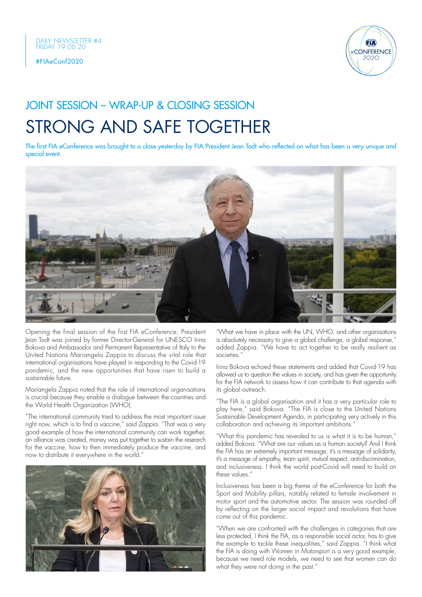



## JOINT SESSION – WRAP-UP & CLOSING SESSION

# STRONG AND SAFE TOGETHER

The first FIA eConference was brought to a close yesterday by FIA President Jean Todt who reflected on what has been a very unique and special event.



Opening the final session of the first FIA eConference, President Jean Todt was joined by former Director-General for UNESCO Irina Bokova and Ambassador and Permanent Representative of Italy to the United Nations Mariangela Zappia to discuss the vital role that international organisations have played in responding to the Covid-19 pandemic, and the new opportunities that have risen to build a sustainable future.

Mariangela Zappia noted that the role of international organisations is crucial because they enable a dialogue between the countries and the World Health Organization (WHO).

"The international community tried to address the most important issue right now, which is to find a vaccine," said Zappia. "That was a very good example of how the international community can work together, an alliance was created, money was put together to sustain the research for the vaccine, how to then immediately produce the vaccine, and now to distribute it everywhere in the world."



"What we have in place with the UN, WHO, and other organisations is absolutely necessary to give a global challenge, a global response," added Zappia. "We have to act together to be really resilient as societies."

Irina Bokova echoed these statements and added that Covid-19 has allowed us to question the values in society, and has given the opportunity for the FIA network to assess how it can contribute to that agenda with its global outreach.

"The FIA is a global organisation and it has a very particular role to play here," said Bokova. "The FIA is close to the United Nations Sustainable Development Agenda, in participating very actively in this collaboration and achieving its important ambitions."

"What this pandemic has revealed to us is what it is to be human," added Bokova. "What are our values as a human society? And I think the FIA has an extremely important message; it's a message of solidarity, it's a message of empathy, team spirit, mutual respect, anti-discrimination, and inclusiveness. I think the world post-Covid will need to build on these values."

Inclusiveness has been a big theme of the eConference for both the Sport and Mobility pillars, notably related to female involvement in motor sport and the automotive sector. The session was rounded off by reflecting on the larger social impact and revolutions that have come out of this pandemic.

"When we are confronted with the challenges in categories that are less protected, I think the FIA, as a responsible social actor, has to give the example to tackle these inequalities," said Zappia. "I think what the FIA is doing with Women in Motorsport is a very good example, because we need role models, we need to see that women can do what they were not doing in the past."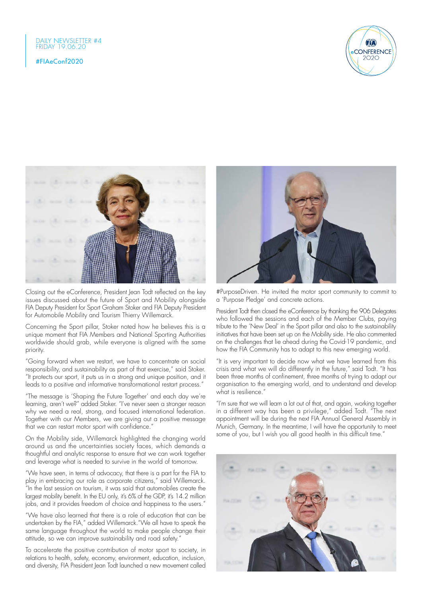



Closing out the eConference, President Jean Todt reflected on the key issues discussed about the future of Sport and Mobility alongside FIA Deputy President for Sport Graham Stoker and FIA Deputy President for Automobile Mobility and Tourism Thierry Willemarck.

Concerning the Sport pillar, Stoker noted how he believes this is a unique moment that FIA Members and National Sporting Authorities worldwide should grab, while everyone is aligned with the same priority.

"Going forward when we restart, we have to concentrate on social responsibility, and sustainability as part of that exercise," said Stoker. "It protects our sport, it puts us in a strong and unique position, and it leads to a positive and informative transformational restart process."

"The message is 'Shaping the Future Together' and each day we're learning, aren't we?" added Stoker. "I've never seen a stronger reason why we need a real, strong, and focused international federation. Together with our Members, we are giving out a positive message that we can restart motor sport with confidence."

On the Mobility side, Willemarck highlighted the changing world around us and the uncertainties society faces, which demands a thoughtful and analytic response to ensure that we can work together and leverage what is needed to survive in the world of tomorrow.

"We have seen, in terms of advocacy, that there is a part for the FIA to play in embracing our role as corporate citizens," said Willemarck. "In the last session on tourism, it was said that automobiles create the largest mobility benefit. In the EU only, it's 6% of the GDP, it's 14.2 million jobs, and it provides freedom of choice and happiness to the users."

"We have also learned that there is a role of education that can be undertaken by the FIA," added Willemarck."We all have to speak the same language throughout the world to make people change their attitude, so we can improve sustainability and road safety."

To accelerate the positive contribution of motor sport to society, in relations to health, safety, economy, environment, education, inclusion, and diversity, FIA President Jean Todt launched a new movement called



#PurposeDriven. He invited the motor sport community to commit to a 'Purpose Pledge' and concrete actions.

President Todt then closed the eConference by thanking the 906 Delegates who followed the sessions and each of the Member Clubs, paying tribute to the 'New Deal' in the Sport pillar and also to the sustainability initiatives that have been set up on the Mobility side. He also commented on the challenges that lie ahead during the Covid-19 pandemic, and how the FIA Community has to adapt to this new emerging world.

"It is very important to decide now what we have learned from this crisis and what we will do differently in the future," said Todt. "It has been three months of confinement, three months of trying to adapt our organisation to the emerging world, and to understand and develop what is resilience."

"I'm sure that we will learn a lot out of that, and again, working together in a different way has been a privilege," added Todt. "The next appointment will be during the next FIA Annual General Assembly in Munich, Germany. In the meantime, I will have the opportunity to meet some of you, but I wish you all good health in this difficult time."